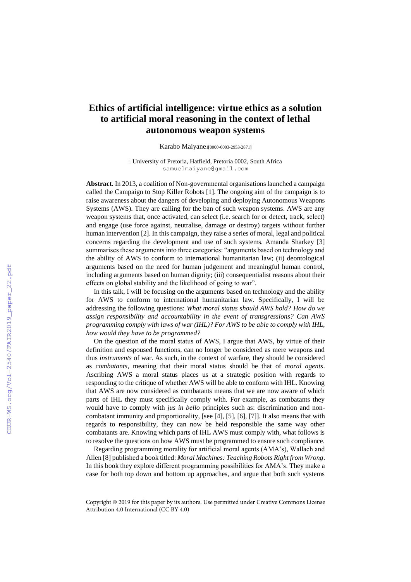## **Ethics of artificial intelligence: virtue ethics as a solution to artificial moral reasoning in the context of lethal autonomous weapon systems**

Karabo Maiyane1[0000-0003-2953-2871]

<sup>1</sup> University of Pretoria, Hatfield, Pretoria 0002, South Africa samuelmaiyane@gmail.com

**Abstract.** In 2013, a coalition of Non-governmental organisations launched a campaign called the Campaign to Stop Killer Robots [1]. The ongoing aim of the campaign is to raise awareness about the dangers of developing and deploying Autonomous Weapons Systems (AWS). They are calling for the ban of such weapon systems. AWS are any weapon systems that, once activated, can select (i.e. search for or detect, track, select) and engage (use force against, neutralise, damage or destroy) targets without further human intervention [2]. In this campaign, they raise a series of moral, legal and political concerns regarding the development and use of such systems. Amanda Sharkey [3] summarises these arguments into three categories: "arguments based on technology and the ability of AWS to conform to international humanitarian law; (ii) deontological arguments based on the need for human judgement and meaningful human control, including arguments based on human dignity; (iii) consequentialist reasons about their effects on global stability and the likelihood of going to war".

In this talk, I will be focusing on the arguments based on technology and the ability for AWS to conform to international humanitarian law. Specifically, I will be addressing the following questions: *What moral status should AWS hold? How do we assign responsibility and accountability in the event of transgressions? Can AWS programming comply with laws of war (IHL)? For AWS to be able to comply with IHL, how would they have to be programmed?* 

On the question of the moral status of AWS, I argue that AWS, by virtue of their definition and espoused functions, can no longer be considered as mere weapons and thus *instruments* of war. As such, in the context of warfare, they should be considered as *combatants*, meaning that their moral status should be that of *moral agents*. Ascribing AWS a moral status places us at a strategic position with regards to responding to the critique of whether AWS will be able to conform with IHL. Knowing that AWS are now considered as combatants means that we are now aware of which parts of IHL they must specifically comply with. For example, as combatants they would have to comply with *jus in bello* principles such as: discrimination and noncombatant immunity and proportionality, [see [4], [5], [6], [7]]. It also means that with regards to responsibility, they can now be held responsible the same way other combatants are. Knowing which parts of IHL AWS must comply with, what follows is to resolve the questions on how AWS must be programmed to ensure such compliance.

Regarding programming morality for artificial moral agents (AMA's), Wallach and Allen [8] published a book titled: *Moral Machines: Teaching Robots Right from Wrong*. In this book they explore different programming possibilities for AMA's. They make a case for both top down and bottom up approaches, and argue that both such systems

Copyright © 2019 for this paper by its authors. Use permitted under Creative Commons License Attribution 4.0 International (CC BY 4.0)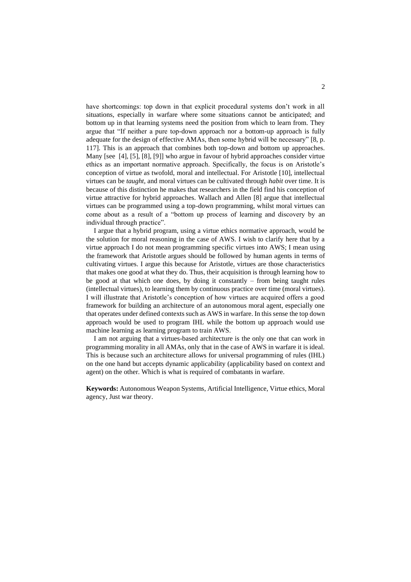have shortcomings: top down in that explicit procedural systems don't work in all situations, especially in warfare where some situations cannot be anticipated; and bottom up in that learning systems need the position from which to learn from. They argue that "If neither a pure top-down approach nor a bottom-up approach is fully adequate for the design of effective AMAs, then some hybrid will be necessary" [8, p. 117]. This is an approach that combines both top-down and bottom up approaches. Many [see [4], [5], [8], [9]] who argue in favour of hybrid approaches consider virtue ethics as an important normative approach. Specifically, the focus is on Aristotle's conception of virtue as twofold, moral and intellectual. For Aristotle [10], intellectual virtues can be *taught*, and moral virtues can be cultivated through *habit* over time. It is because of this distinction he makes that researchers in the field find his conception of virtue attractive for hybrid approaches. Wallach and Allen [8] argue that intellectual virtues can be programmed using a top-down programming, whilst moral virtues can come about as a result of a "bottom up process of learning and discovery by an individual through practice".

I argue that a hybrid program, using a virtue ethics normative approach, would be the solution for moral reasoning in the case of AWS. I wish to clarify here that by a virtue approach I do not mean programming specific virtues into AWS; I mean using the framework that Aristotle argues should be followed by human agents in terms of cultivating virtues. I argue this because for Aristotle, virtues are those characteristics that makes one good at what they do. Thus, their acquisition is through learning how to be good at that which one does, by doing it constantly – from being taught rules (intellectual virtues), to learning them by continuous practice over time (moral virtues). I will illustrate that Aristotle's conception of how virtues are acquired offers a good framework for building an architecture of an autonomous moral agent, especially one that operates under defined contexts such as AWS in warfare. In this sense the top down approach would be used to program IHL while the bottom up approach would use machine learning as learning program to train AWS.

I am not arguing that a virtues-based architecture is the only one that can work in programming morality in all AMAs, only that in the case of AWS in warfare it is ideal. This is because such an architecture allows for universal programming of rules (IHL) on the one hand but accepts dynamic applicability (applicability based on context and agent) on the other. Which is what is required of combatants in warfare.

**Keywords:** Autonomous Weapon Systems, Artificial Intelligence, Virtue ethics, Moral agency, Just war theory.